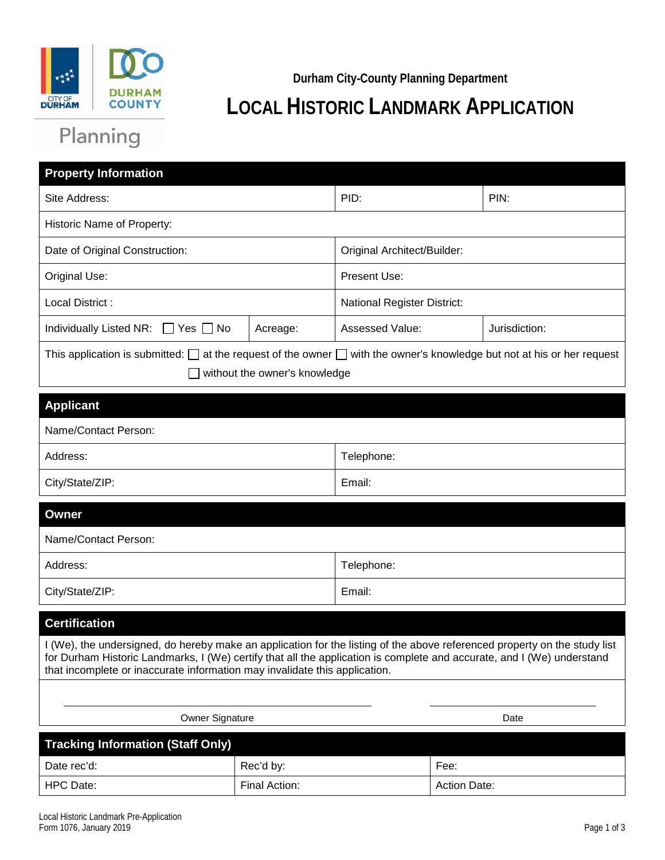

**Durham City-County Planning Department**

## **LOCAL HISTORIC LANDMARK APPLICATION**

## Planning

| <b>Property Information</b>                                                                                                                                                                                                                                                                                                       |          |                             |               |  |  |
|-----------------------------------------------------------------------------------------------------------------------------------------------------------------------------------------------------------------------------------------------------------------------------------------------------------------------------------|----------|-----------------------------|---------------|--|--|
| Site Address:                                                                                                                                                                                                                                                                                                                     |          | PID:                        | PIN:          |  |  |
| Historic Name of Property:                                                                                                                                                                                                                                                                                                        |          |                             |               |  |  |
| Date of Original Construction:                                                                                                                                                                                                                                                                                                    |          | Original Architect/Builder: |               |  |  |
| Original Use:                                                                                                                                                                                                                                                                                                                     |          | Present Use:                |               |  |  |
| Local District:                                                                                                                                                                                                                                                                                                                   |          | National Register District: |               |  |  |
| Individually Listed NR: $\Box$ Yes $\Box$ No                                                                                                                                                                                                                                                                                      | Acreage: | <b>Assessed Value:</b>      | Jurisdiction: |  |  |
| This application is submitted: $\Box$ at the request of the owner $\Box$ with the owner's knowledge but not at his or her request<br>without the owner's knowledge                                                                                                                                                                |          |                             |               |  |  |
| <b>Applicant</b>                                                                                                                                                                                                                                                                                                                  |          |                             |               |  |  |
| Name/Contact Person:                                                                                                                                                                                                                                                                                                              |          |                             |               |  |  |
| Address:                                                                                                                                                                                                                                                                                                                          |          | Telephone:                  |               |  |  |
| City/State/ZIP:                                                                                                                                                                                                                                                                                                                   |          | Email:                      |               |  |  |
| <b>Owner</b>                                                                                                                                                                                                                                                                                                                      |          |                             |               |  |  |
| Name/Contact Person:                                                                                                                                                                                                                                                                                                              |          |                             |               |  |  |
| Address:                                                                                                                                                                                                                                                                                                                          |          | Telephone:                  |               |  |  |
| City/State/ZIP:                                                                                                                                                                                                                                                                                                                   |          | Email:                      |               |  |  |
| <b>Certification</b>                                                                                                                                                                                                                                                                                                              |          |                             |               |  |  |
| I (We), the undersigned, do hereby make an application for the listing of the above referenced property on the study list<br>for Durham Historic Landmarks, I (We) certify that all the application is complete and accurate, and I (We) understand<br>that incomplete or inaccurate information may invalidate this application. |          |                             |               |  |  |
|                                                                                                                                                                                                                                                                                                                                   |          |                             |               |  |  |
| Owner Signature                                                                                                                                                                                                                                                                                                                   |          |                             | Date          |  |  |

| <b>Tracking Information (Staff Only)</b> |               |                     |  |  |  |
|------------------------------------------|---------------|---------------------|--|--|--|
| Date rec'd:                              | Rec'd by:     | Fee:                |  |  |  |
| HPC Date:                                | Final Action: | <b>Action Date:</b> |  |  |  |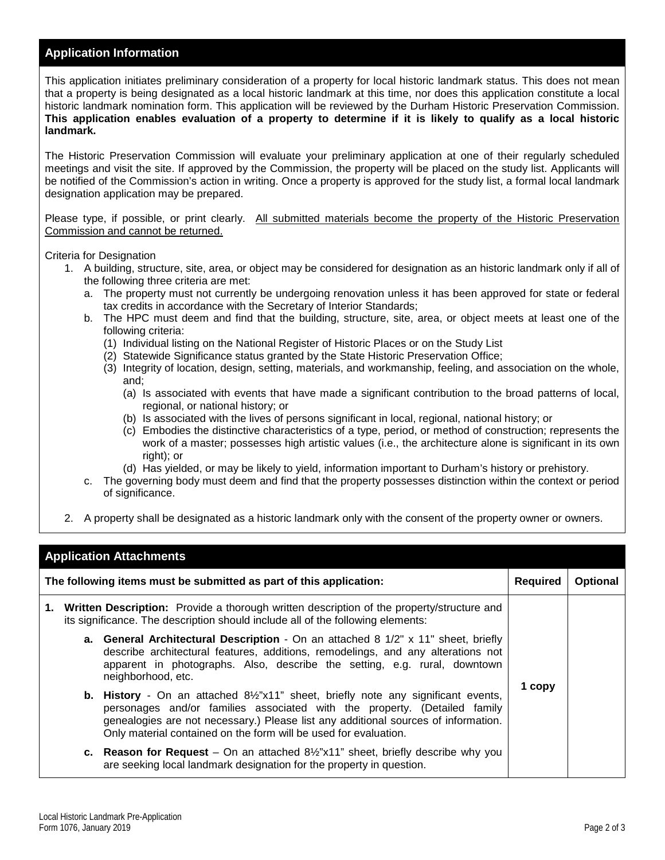## **Application Information**

This application initiates preliminary consideration of a property for local historic landmark status. This does not mean that a property is being designated as a local historic landmark at this time, nor does this application constitute a local historic landmark nomination form. This application will be reviewed by the Durham Historic Preservation Commission. **This application enables evaluation of a property to determine if it is likely to qualify as a local historic landmark.**

The Historic Preservation Commission will evaluate your preliminary application at one of their regularly scheduled meetings and visit the site. If approved by the Commission, the property will be placed on the study list. Applicants will be notified of the Commission's action in writing. Once a property is approved for the study list, a formal local landmark designation application may be prepared.

Please type, if possible, or print clearly. All submitted materials become the property of the Historic Preservation Commission and cannot be returned.

Criteria for Designation

- 1. A building, structure, site, area, or object may be considered for designation as an historic landmark only if all of the following three criteria are met:
	- a. The property must not currently be undergoing renovation unless it has been approved for state or federal tax credits in accordance with the Secretary of Interior Standards;
	- b. The HPC must deem and find that the building, structure, site, area, or object meets at least one of the following criteria:
		- (1) Individual listing on the National Register of Historic Places or on the Study List
		- (2) Statewide Significance status granted by the State Historic Preservation Office;
		- (3) Integrity of location, design, setting, materials, and workmanship, feeling, and association on the whole, and;
			- (a) Is associated with events that have made a significant contribution to the broad patterns of local, regional, or national history; or
			- (b) Is associated with the lives of persons significant in local, regional, national history; or
			- (c) Embodies the distinctive characteristics of a type, period, or method of construction; represents the work of a master; possesses high artistic values (i.e., the architecture alone is significant in its own right); or
			- (d) Has yielded, or may be likely to yield, information important to Durham's history or prehistory.
	- c. The governing body must deem and find that the property possesses distinction within the context or period of significance.
- 2. A property shall be designated as a historic landmark only with the consent of the property owner or owners.

| <b>Application Attachments</b>                                                                                                                                                                                                                                                                                                                            |        |                 |  |  |  |  |
|-----------------------------------------------------------------------------------------------------------------------------------------------------------------------------------------------------------------------------------------------------------------------------------------------------------------------------------------------------------|--------|-----------------|--|--|--|--|
| The following items must be submitted as part of this application:                                                                                                                                                                                                                                                                                        |        | <b>Optional</b> |  |  |  |  |
| 1. Written Description: Provide a thorough written description of the property/structure and<br>its significance. The description should include all of the following elements:                                                                                                                                                                           |        |                 |  |  |  |  |
| <b>a.</b> General Architectural Description - On an attached 8 $1/2$ " x 11" sheet, briefly<br>describe architectural features, additions, remodelings, and any alterations not<br>apparent in photographs. Also, describe the setting, e.g. rural, downtown<br>neighborhood, etc.                                                                        | 1 copy |                 |  |  |  |  |
| <b>b.</b> History - On an attached 8 <sup>1</sup> / <sub>2</sub> "x11" sheet, briefly note any significant events,<br>personages and/or families associated with the property. (Detailed family<br>genealogies are not necessary.) Please list any additional sources of information.<br>Only material contained on the form will be used for evaluation. |        |                 |  |  |  |  |
| c. Reason for Request – On an attached $8\frac{1}{2}$ "x11" sheet, briefly describe why you<br>are seeking local landmark designation for the property in question.                                                                                                                                                                                       |        |                 |  |  |  |  |